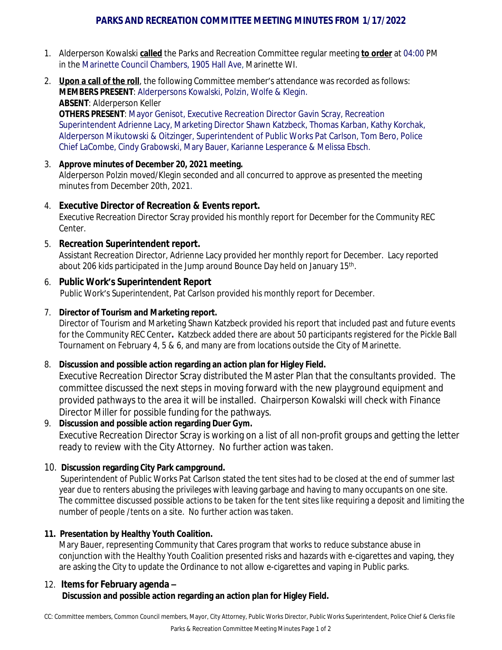# **PARKS AND RECREATION COMMITTEE MEETING MINUTES FROM 1/17/2022**

- 1. Alderperson Kowalski **called** the Parks and Recreation Committee regular meeting **to order** at 04:00 PM in the Marinette Council Chambers, 1905 Hall Ave, Marinette WI.
- 2. **Upon a call of the roll**, the following Committee member's attendance was recorded as follows: **MEMBERS PRESENT**: Alderpersons Kowalski, Polzin, Wolfe & Klegin. **ABSENT**: Alderperson Keller **OTHERS PRESENT**: Mayor Genisot, Executive Recreation Director Gavin Scray, Recreation

Superintendent Adrienne Lacy, Marketing Director Shawn Katzbeck, Thomas Karban, Kathy Korchak, Alderperson Mikutowski & Oitzinger, Superintendent of Public Works Pat Carlson, Tom Bero, Police Chief LaCombe, Cindy Grabowski, Mary Bauer, Karianne Lesperance & Melissa Ebsch.

# 3. **Approve minutes of December 20, 2021 meeting.**

Alderperson Polzin moved/Klegin seconded and all concurred to approve as presented the meeting minutes from December 20th, 2021.

# 4. **Executive Director of Recreation & Events report.**

Executive Recreation Director Scray provided his monthly report for December for the Community REC Center.

# 5. **Recreation Superintendent report.**

Assistant Recreation Director, Adrienne Lacy provided her monthly report for December. Lacy reported about 206 kids participated in the Jump around Bounce Day held on January 15<sup>th</sup>.

# 6. **Public Work's Superintendent Report**

Public Work's Superintendent, Pat Carlson provided his monthly report for December.

# 7. **Director of Tourism and Marketing report.**

Director of Tourism and Marketing Shawn Katzbeck provided his report that included past and future events for the Community REC Center**.** Katzbeck added there are about 50 participants registered for the Pickle Ball Tournament on February 4, 5 & 6, and many are from locations outside the City of Marinette.

#### 8. **Discussion and possible action regarding an action plan for Higley Field.**

Executive Recreation Director Scray distributed the Master Plan that the consultants provided. The committee discussed the next steps in moving forward with the new playground equipment and provided pathways to the area it will be installed. Chairperson Kowalski will check with Finance Director Miller for possible funding for the pathways.

#### 9. **Discussion and possible action regarding Duer Gym.**

Executive Recreation Director Scray is working on a list of all non-profit groups and getting the letter ready to review with the City Attorney. No further action was taken.

# 10. **Discussion regarding City Park campground.**

Superintendent of Public Works Pat Carlson stated the tent sites had to be closed at the end of summer last year due to renters abusing the privileges with leaving garbage and having to many occupants on one site. The committee discussed possible actions to be taken for the tent sites like requiring a deposit and limiting the number of people /tents on a site. No further action was taken.

#### **11. Presentation by Healthy Youth Coalition.**

Mary Bauer, representing Community that Cares program that works to reduce substance abuse in conjunction with the Healthy Youth Coalition presented risks and hazards with e-cigarettes and vaping, they are asking the City to update the Ordinance to not allow e-cigarettes and vaping in Public parks.

#### 12. **Items for February agenda – Discussion and possible action regarding an action plan for Higley Field.**

CC: Committee members, Common Council members, Mayor, City Attorney, Public Works Director, Public Works Superintendent, Police Chief & Clerks file